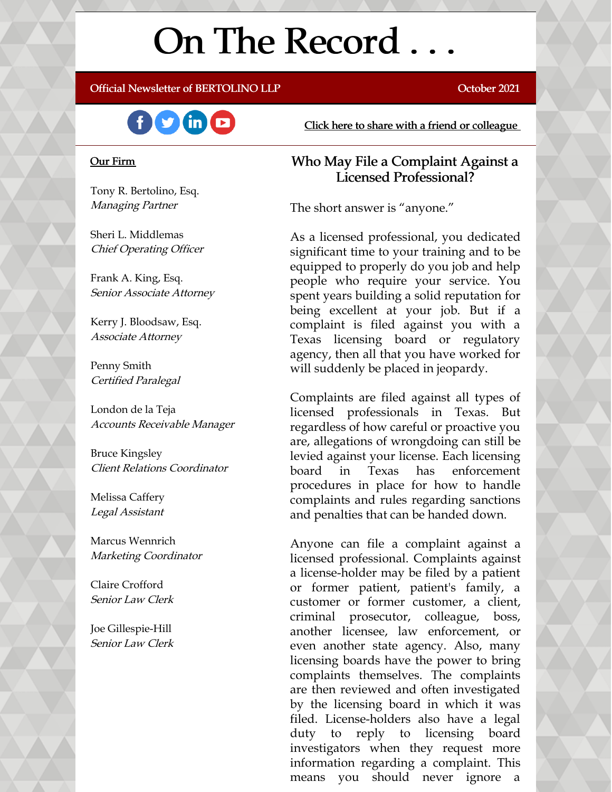# On The Record . . .

Official Newsletter of BERTOLINO LLP **CONSERVANCE CONSERVANCE CONSERVANCE** October 2021



#### Our Firm

Tony R. Bertolino, Esq. Managing Partner

Sheri L. Middlemas Chief Operating Officer

Frank A. King, Esq. Senior Associate Attorney

Kerry J. Bloodsaw, Esq. Associate Attorney

Penny Smith Certified Paralegal

London de la Teja Accounts Receivable Manager

Bruce Kingsley Client Relations Coordinator

Melissa Caffery Legal Assistant

Marcus Wennrich Marketing Coordinator

Claire Crofford Senior Law Clerk

Joe Gillespie-Hill Senior Law Clerk Click here to share with a friend or [colleague](https://visitor.r20.constantcontact.com/manage/optin?v=001xvcZBIZGArRYZxP_ENhTFsnPqgcrAHF_8FAGh0C6OoU_TYzgqPeo9kiI5F5Vb-xdZP7jClYZWX2ttQp6Q7JygJ1sq0DH9MDHJwjzNoREDc4=)

#### Who May File a Complaint Against a Licensed Professional?

The short answer is "anyone."

As a licensed professional, you dedicated significant time to your training and to be equipped to properly do you job and help people who require your service. You spent years building a solid reputation for being excellent at your job. But if a complaint is filed against you with a Texas licensing board or regulatory agency, then all that you have worked for will suddenly be placed in jeopardy.

Complaints are filed against all types of licensed professionals in Texas. But regardless of how careful or proactive you are, allegations of wrongdoing can still be levied against your license. Each licensing board in Texas has enforcement procedures in place for how to handle complaints and rules regarding sanctions and penalties that can be handed down.

Anyone can file a complaint against a licensed professional. Complaints against a license-holder may be filed by a patient or former patient, patient's family, a customer or former customer, a client, criminal prosecutor, colleague, boss, another licensee, law enforcement, or even another state agency. Also, many licensing boards have the power to bring complaints themselves. The complaints are then reviewed and often investigated by the licensing board in which it was filed. License-holders also have a legal duty to reply to licensing board investigators when they request more information regarding a complaint. This means you should never ignore a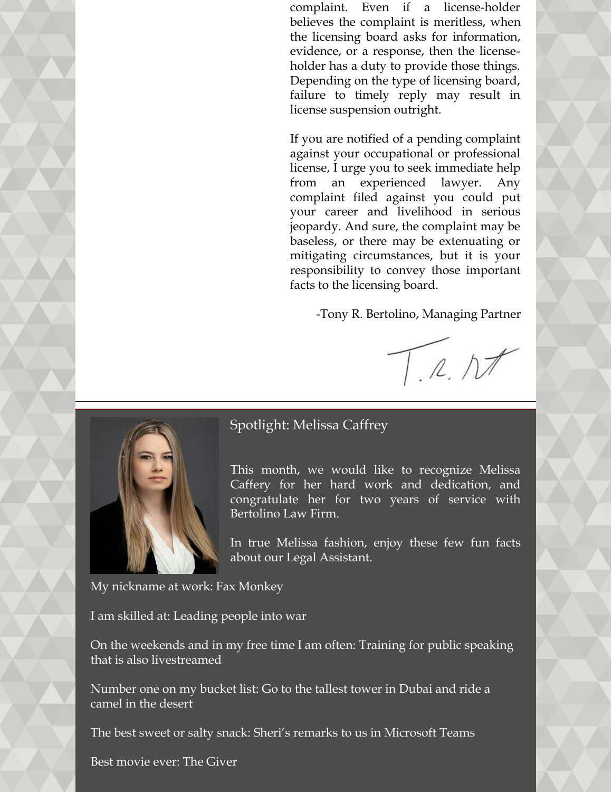complaint. Even if a license-holder believes the complaint is meritless, when the licensing board asks for information, evidence, or a response, then the licenseholder has a duty to provide those things. Depending on the type of licensing board, failure to timely reply may result in license suspension outright.

If you are notified of a pending complaint against your occupational or professional license, I urge you to seek immediate help from an experienced lawyer. Any complaint filed against you could put your career and livelihood in serious jeopardy. And sure, the complaint may be baseless, or there may be extenuating or mitigating circumstances, but it is your responsibility to convey those important facts to the licensing board.

-Tony R. Bertolino, Managing Partner

 $T.R.NI$ 



#### Spotlight: Melissa Caffrey

This month, we would like to recognize Melissa Caffery for her hard work and dedication, and congratulate her for two years of service with Bertolino Law Firm.

In true Melissa fashion, enjoy these few fun facts about our Legal Assistant.

My nickname at work: Fax Monkey

I am skilled at: Leading people into war

On the weekends and in my free time I am often: Training for public speaking that is also livestreamed

Number one on my bucket list: Go to the tallest tower in Dubai and ride a camel in the desert

The best sweet or salty snack: Sheri's remarks to us in Microsoft Teams

Best movie ever: The Giver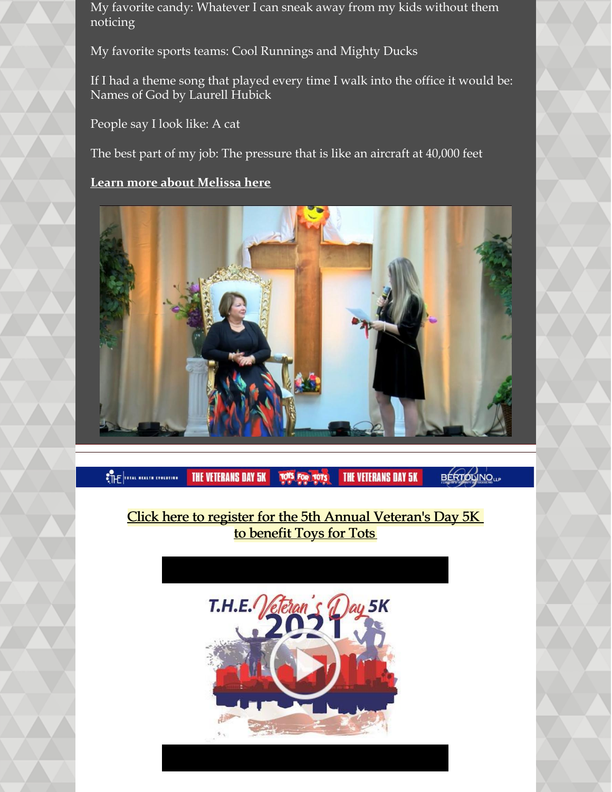My favorite candy: Whatever I can sneak away from my kids without them noticing

My favorite sports teams: Cool Runnings and Mighty Ducks

If I had a theme song that played every time I walk into the office it would be: Names of God by Laurell Hubick

People say I look like: A cat

The best part of my job: The pressure that is like an aircraft at 40,000 feet

#### **Learn more about [Melissa](https://www.belolaw.com/about/) here**



**ETHE CONTRACTOR** 

**THE VETERANS DAY 5K** 

**THE VETERANS DAY 5K** 

**BERTOLINO**LLP

## Click here to register for the 5th Annual [Veteran's](https://thefun5k.run/) Day 5K to [benefit](https://thefun5k.run/) Toys for Tots

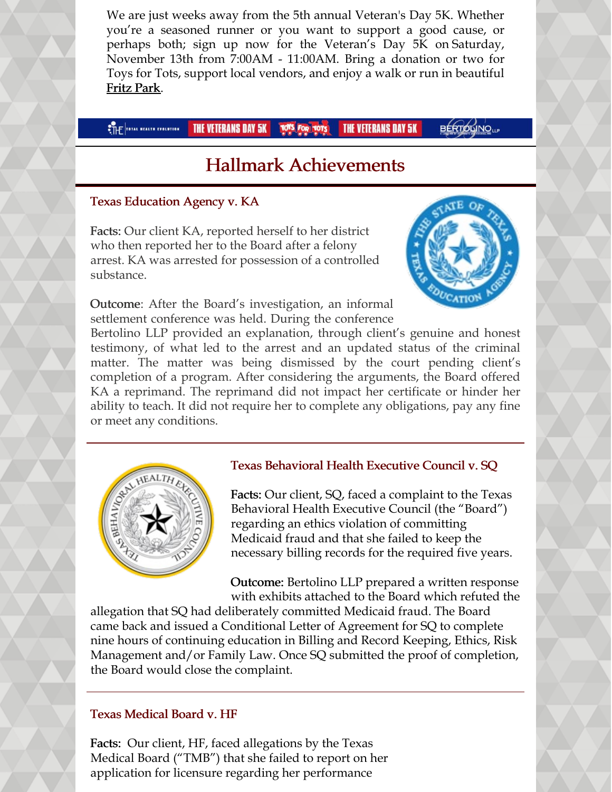We are just weeks away from the 5th annual Veteran's Day 5K. Whether you're a seasoned runner or you want to support a good cause, or perhaps both; sign up now for the Veteran's Day 5K on Saturday, November 13th from 7:00AM - 11:00AM. Bring a donation or two for Toys for Tots, support local vendors, and enjoy a walk or run in beautiful Fritz [Park](https://tx-hutto2.civicplus.com/facilities/facility/details/fritzpark-2).

#### **CTHE TOTAL NEALTH EVOLUTION THE VETERANS DAY 5K TOTS FOR TOTS THE VETERANS DAY 5K**

**BÉRTOLINO**UP

# Hallmark Achievements

#### Texas Education Agency v. KA

Facts: Our client KA, reported herself to her district who then reported her to the Board after a felony arrest. KA was arrested for possession of a controlled substance.

Outcome: After the Board's investigation, an informal settlement conference was held. During the conference



Bertolino LLP provided an explanation, through client's genuine and honest testimony, of what led to the arrest and an updated status of the criminal matter. The matter was being dismissed by the court pending client's completion of a program. After considering the arguments, the Board offered KA a reprimand. The reprimand did not impact her certificate or hinder her ability to teach. It did not require her to complete any obligations, pay any fine or meet any conditions.



#### Texas Behavioral Health Executive Council v. SQ

Facts: Our client, SQ, faced a complaint to the Texas Behavioral Health Executive Council (the "Board") regarding an ethics violation of committing Medicaid fraud and that she failed to keep the necessary billing records for the required five years.

Outcome: Bertolino LLP prepared a written response with exhibits attached to the Board which refuted the

allegation that SQ had deliberately committed Medicaid fraud. The Board came back and issued a Conditional Letter of Agreement for SQ to complete nine hours of continuing education in Billing and Record Keeping, Ethics, Risk Management and/or Family Law. Once SQ submitted the proof of completion, the Board would close the complaint.

#### Texas Medical Board v. HF

Facts: Our client, HF, faced allegations by the Texas Medical Board ("TMB") that she failed to report on her application for licensure regarding her performance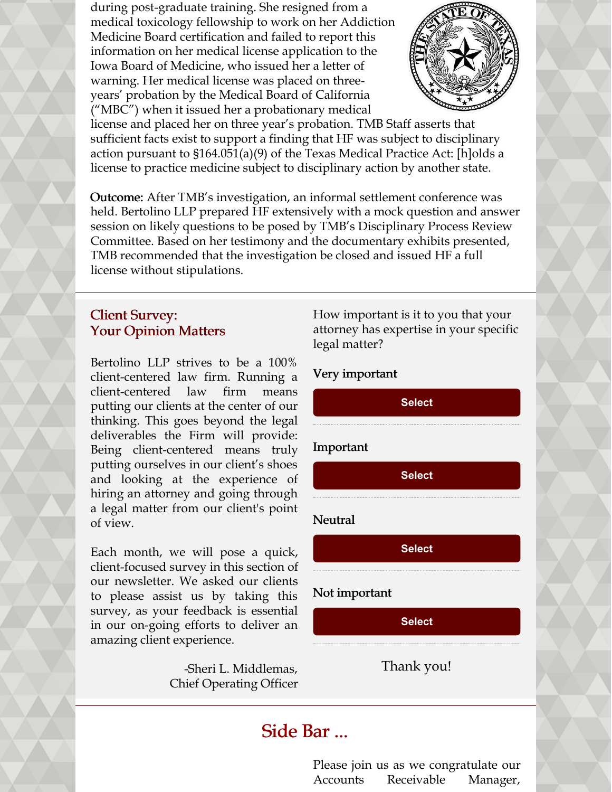during post-graduate training. She resigned from a medical toxicology fellowship to work on her Addiction Medicine Board certification and failed to report this information on her medical license application to the Iowa Board of Medicine, who issued her a letter of warning. Her medical license was placed on threeyears' probation by the Medical Board of California ("MBC") when it issued her a probationary medical



license and placed her on three year's probation. TMB Staff asserts that sufficient facts exist to support a finding that HF was subject to disciplinary action pursuant to §164.051(a)(9) of the Texas Medical Practice Act: [h]olds a license to practice medicine subject to disciplinary action by another state.

Outcome: After TMB's investigation, an informal settlement conference was held. Bertolino LLP prepared HF extensively with a mock question and answer session on likely questions to be posed by TMB's Disciplinary Process Review Committee. Based on her testimony and the documentary exhibits presented, TMB recommended that the investigation be closed and issued HF a full license without stipulations.

### Client Survey: Your Opinion Matters

Bertolino LLP strives to be a 100% client-centered law firm. Running a client-centered law firm means putting our clients at the center of our thinking. This goes beyond the legal deliverables the Firm will provide: Being client-centered means truly putting ourselves in our client's shoes and looking at the experience of hiring an attorney and going through a legal matter from our client's point of view.

Each month, we will pose a quick, client-focused survey in this section of our newsletter. We asked our clients to please assist us by taking this survey, as your feedback is essential in our on-going efforts to deliver an amazing client experience.

> -Sheri L. Middlemas, Chief Operating Officer

How important is it to you that your attorney has expertise in your specific legal matter?

#### Very important

**[Select](https://campaignlp.constantcontact.com/forms/response?id=8MTVuLZxdx2tqY6ViR4pGQ2t9mHnmSeJnwe6lMNgfJnPkMimMThg0rkNfhEhT4TwmQ0EvoZf_SdDfWrukI3Sop9swftnZ7W25TSCd_lwCXrXbFHvPORmLa0diOuTHId-AKwZQTd5vMoNf6NDQdNnZB4QkRhveNl_w2ivTHbrmxjcBO1ZKIU55RaasZwASIS5uzWk_BooTyXFYMefTsr-aw&encVer=1&c=&ch=)**

#### Important

**[Select](https://campaignlp.constantcontact.com/forms/response?id=8MTVuLZxdx2tqY6ViR4pGQ2t9mHnmSeJnwe6lMNgfJnPkMimMThg0rkNfhEhT4TwmQ0EvoZf_SdDfWrukI3Sop9swftnZ7W25TSCd_lwCXrXbFHvPORmLa0diOuTHId-AKwZQTd5vMoNf6NDQdNnZB4QkRhveNl_w2ivTHbrmxjcBO1ZKIU55RaasZwASIS5uzWk_BooTyXXN6S9LkQxSg&encVer=1&c=&ch=)**

#### Neutral

**[Select](https://campaignlp.constantcontact.com/forms/response?id=8MTVuLZxdx2tqY6ViR4pGQ2t9mHnmSeJnwe6lMNgfJnPkMimMThg0rkNfhEhT4TwmQ0EvoZf_SdDfWrukI3Sop9swftnZ7W25TSCd_lwCXrXbFHvPORmLa0diOuTHId-AKwZQTd5vMoNf6NDQdNnZB4QkRhveNl_w2ivTHbrmxjcBO1ZKIU55RaasZwASIS5uzWk_BooTyWrUSvPlZJhEA&encVer=1&c=&ch=)**

#### Not important

**[Select](https://campaignlp.constantcontact.com/forms/response?id=8MTVuLZxdx2tqY6ViR4pGQ2t9mHnmSeJnwe6lMNgfJnPkMimMThg0rkNfhEhT4TwmQ0EvoZf_SdDfWrukI3Sop9swftnZ7W25TSCd_lwCXrXbFHvPORmLa0diOuTHId-AKwZQTd5vMoNf6NDQdNnZB4QkRhveNl_w2ivTHbrmxjcBO1ZKIU55RaasZwASIS5uzWk_BooTyUTQGQFfhqn8g&encVer=1&c=&ch=)**

Thank you!

## Side Bar ...

Please join us as we congratulate our Accounts Receivable Manager,